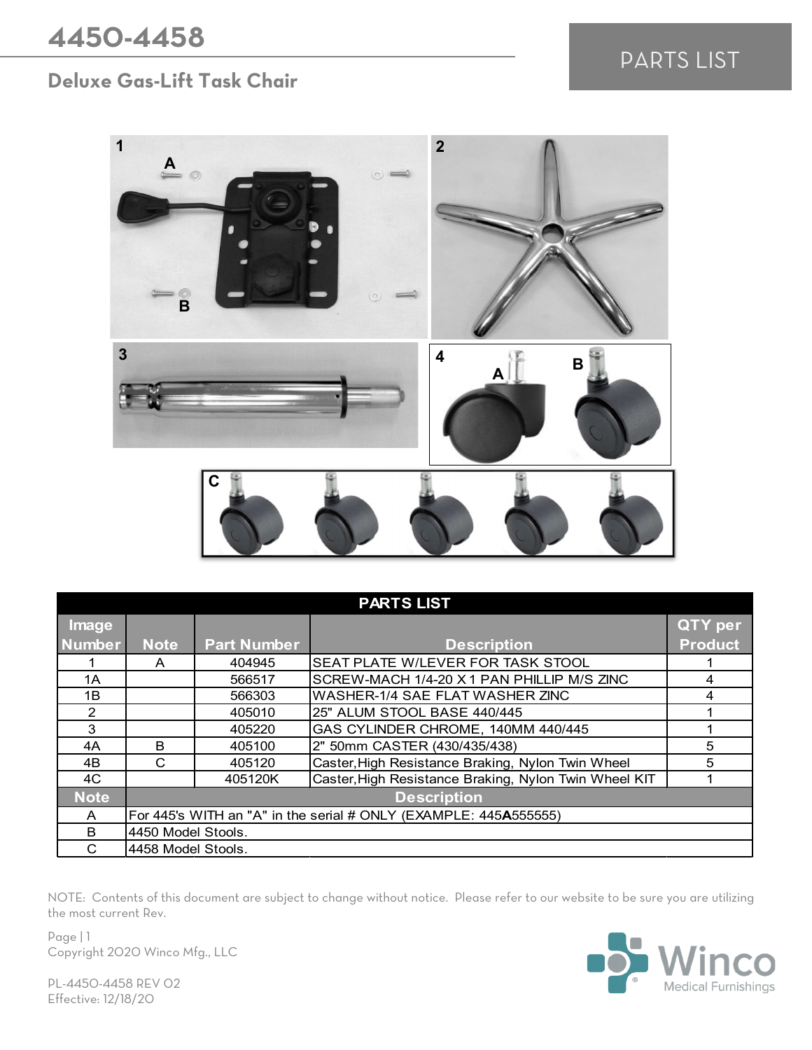## PARTS LIST

## **Deluxe Gas-Lift Task Chair**



| <b>PARTS LIST</b> |                                                                  |                    |                                                       |                |  |  |
|-------------------|------------------------------------------------------------------|--------------------|-------------------------------------------------------|----------------|--|--|
| Image             |                                                                  |                    |                                                       | <b>QTY</b> per |  |  |
| Number            | <b>Note</b>                                                      | <b>Part Number</b> | <b>Description</b>                                    | <b>Product</b> |  |  |
|                   | A                                                                | 404945             | SEAT PLATE W/LEVER FOR TASK STOOL                     |                |  |  |
| 1A                |                                                                  | 566517             | SCREW-MACH 1/4-20 X 1 PAN PHILLIP M/S ZINC            | 4              |  |  |
| 1B                |                                                                  | 566303             | WASHER-1/4 SAE FLAT WASHER ZINC                       | 4              |  |  |
| $\mathcal{P}$     |                                                                  | 405010             | 25" ALUM STOOL BASE 440/445                           |                |  |  |
| 3                 |                                                                  | 405220             | GAS CYLINDER CHROME, 140MM 440/445                    |                |  |  |
| 4A                | <sub>R</sub>                                                     | 405100             | 2" 50mm CASTER (430/435/438)                          | 5              |  |  |
| 4B                | C                                                                | 405120             | Caster, High Resistance Braking, Nylon Twin Wheel     | 5              |  |  |
| 4C                |                                                                  | 405120K            | Caster, High Resistance Braking, Nylon Twin Wheel KIT |                |  |  |
| <b>Note</b>       | <b>Description</b>                                               |                    |                                                       |                |  |  |
| A                 | For 445's WITH an "A" in the serial # ONLY (EXAMPLE: 445A555555) |                    |                                                       |                |  |  |
| B                 | 4450 Model Stools.                                               |                    |                                                       |                |  |  |
| C                 | 4458 Model Stools.                                               |                    |                                                       |                |  |  |

NOTE: Contents of this document are subject to change without notice. Please refer to our website to be sure you are utilizing the most current Rev.

Page | 1 Copyright 2020 Winco Mfg., LLC



PL-4450-4458 REV 02 Effective: 12/18/20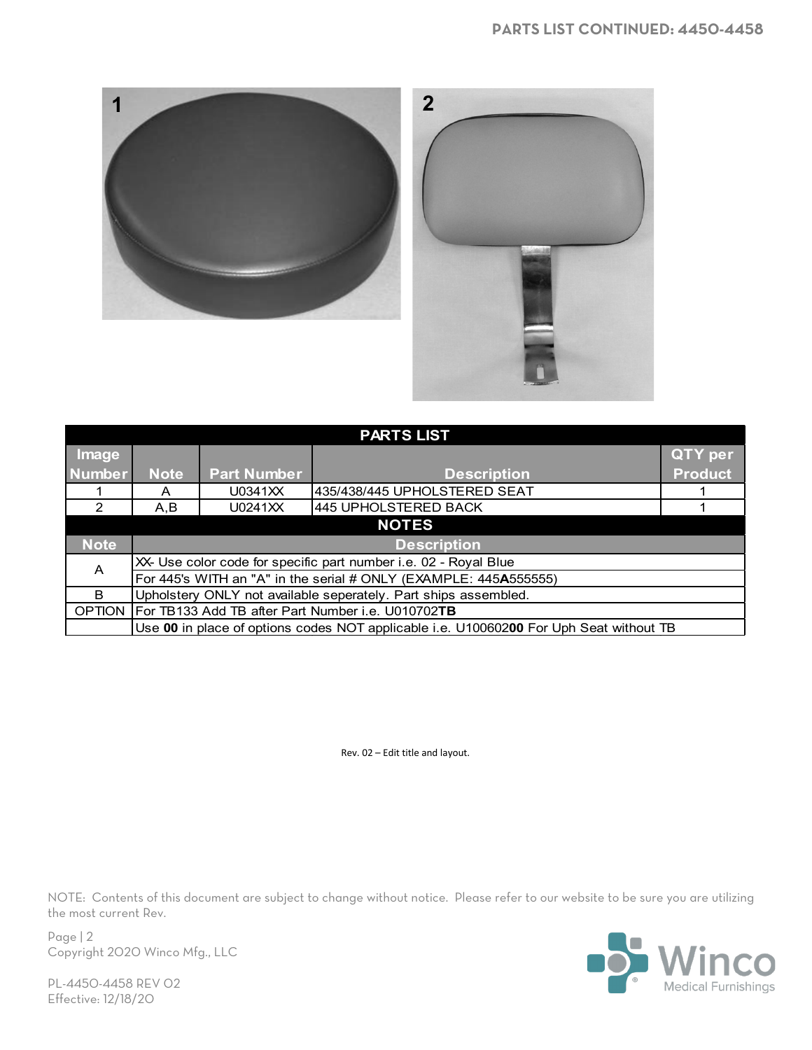

| <b>PARTS LIST</b> |                                                                                        |                    |                              |                |  |  |  |
|-------------------|----------------------------------------------------------------------------------------|--------------------|------------------------------|----------------|--|--|--|
| Image             |                                                                                        |                    |                              | <b>QTY</b> per |  |  |  |
| <b>Number</b>     | <b>Note</b>                                                                            | <b>Part Number</b> | <b>Description</b>           | <b>Product</b> |  |  |  |
|                   |                                                                                        | U0341XX            | 435/438/445 UPHOLSTERED SEAT |                |  |  |  |
| 2                 | A, B                                                                                   | U0241XX            | 445 UPHOLSTERED BACK         |                |  |  |  |
| <b>NOTES</b>      |                                                                                        |                    |                              |                |  |  |  |
| <b>Note</b>       | <b>Description</b>                                                                     |                    |                              |                |  |  |  |
| A                 | XX- Use color code for specific part number i.e. 02 - Royal Blue                       |                    |                              |                |  |  |  |
|                   | For 445's WITH an "A" in the serial # ONLY (EXAMPLE: 445A555555)                       |                    |                              |                |  |  |  |
| B.                | Upholstery ONLY not available seperately. Part ships assembled.                        |                    |                              |                |  |  |  |
| <b>OPTION</b>     | For TB133 Add TB after Part Number i.e. U010702TB                                      |                    |                              |                |  |  |  |
|                   | Use 00 in place of options codes NOT applicable i.e. U10060200 For Uph Seat without TB |                    |                              |                |  |  |  |

Rev. 02 – Edit title and layout.

NOTE: Contents of this document are subject to change without notice. Please refer to our website to be sure you are utilizing the most current Rev.

Page | 2 Copyright 2020 Winco Mfg., LLC



PL-4450-4458 REV 02 Effective: 12/18/20